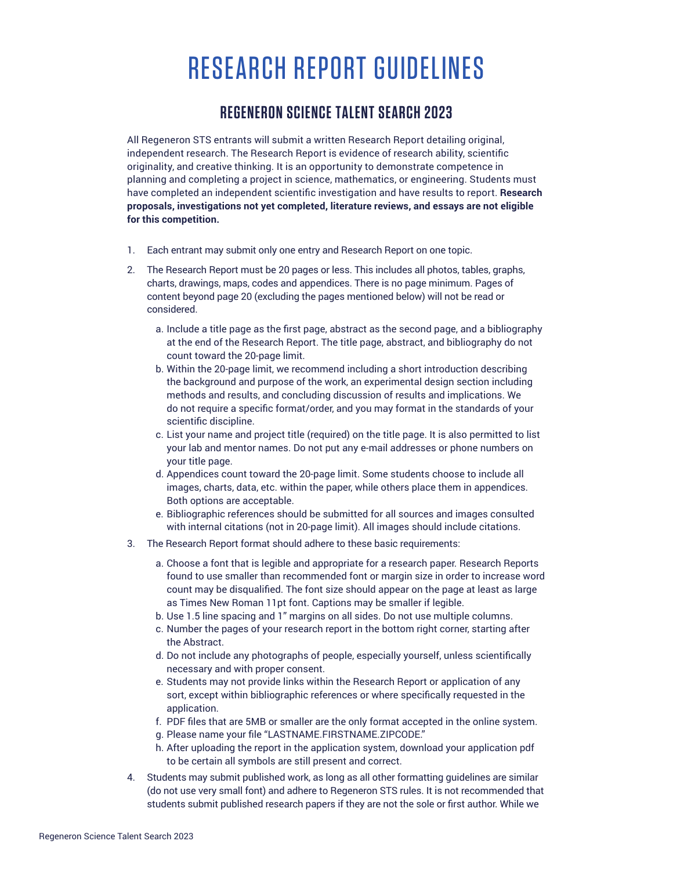## RESEARCH REPORT GUIDELINES

## **REGENERON SCIENCE TALENT SEARCH 2023**

All Regeneron STS entrants will submit a written Research Report detailing original, independent research. The Research Report is evidence of research ability, scientific originality, and creative thinking. It is an opportunity to demonstrate competence in planning and completing a project in science, mathematics, or engineering. Students must have completed an independent scientific investigation and have results to report. Research **proposals, investigations not yet completed, literature reviews, and essays are not eligible for this competition.** 

- 1. Each entrant may submit only one entry and Research Report on one topic.
- 2. The Research Report must be 20 pages or less. This includes all photos, tables, graphs, charts, drawings, maps, codes and appendices. There is no page minimum. Pages of content beyond page 20 (excluding the pages mentioned below) will not be read or considered.
	- a. Include a title page as the first page, abstract as the second page, and a bibliography at the end of the Research Report. The title page, abstract, and bibliography do not count toward the 20-page limit.
	- b. Within the 20-page limit, we recommend including a short introduction describing the background and purpose of the work, an experimental design section including methods and results, and concluding discussion of results and implications. We do not require a specific format/order, and you may format in the standards of your scientific discipline.
	- c. List your name and project title (required) on the title page. It is also permitted to list your lab and mentor names. Do not put any e-mail addresses or phone numbers on your title page.
	- d. Appendices count toward the 20-page limit. Some students choose to include all images, charts, data, etc. within the paper, while others place them in appendices. Both options are acceptable.
	- e. Bibliographic references should be submitted for all sources and images consulted with internal citations (not in 20-page limit). All images should include citations.
- 3. The Research Report format should adhere to these basic requirements:
	- a. Choose a font that is legible and appropriate for a research paper. Research Reports found to use smaller than recommended font or margin size in order to increase word count may be disqualified. The font size should appear on the page at least as large as Times New Roman 11pt font. Captions may be smaller if legible.
	- b. Use 1.5 line spacing and 1" margins on all sides. Do not use multiple columns.
	- c. Number the pages of your research report in the bottom right corner, starting after the Abstract.
	- d. Do not include any photographs of people, especially yourself, unless scientifically necessary and with proper consent.
	- e. Students may not provide links within the Research Report or application of any sort, except within bibliographic references or where specifically requested in the application.
	- f. PDF files that are 5MB or smaller are the only format accepted in the online system.
	- g. Please name your file "LASTNAME.FIRSTNAME.ZIPCODE."
	- h. After uploading the report in the application system, download your application pdf to be certain all symbols are still present and correct.
- 4. Students may submit published work, as long as all other formatting guidelines are similar (do not use very small font) and adhere to Regeneron STS rules. It is not recommended that students submit published research papers if they are not the sole or first author. While we